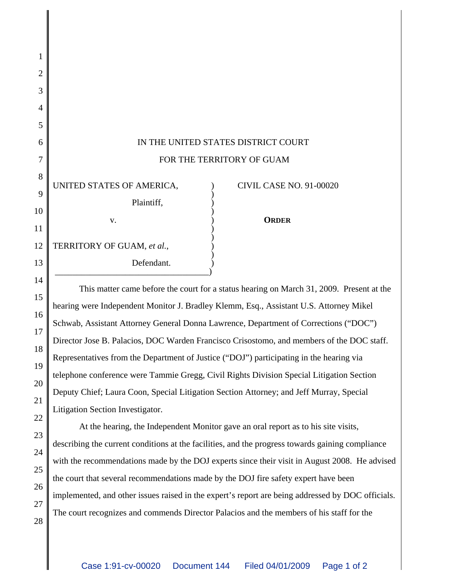| 1              |                                                             |
|----------------|-------------------------------------------------------------|
|                |                                                             |
| $\overline{2}$ |                                                             |
| 3              |                                                             |
| 4              |                                                             |
| 5              |                                                             |
| 6              | IN THE UNITED STATES DISTRICT COURT                         |
| 7              | FOR THE TERRITORY OF GUAM                                   |
| 8              | UNITED STATES OF AMERICA,<br><b>CIVIL CASE NO. 91-00020</b> |
| 9              |                                                             |
| 10             | Plaintiff,                                                  |
|                | <b>ORDER</b><br>V.                                          |
| 11             |                                                             |
| 12             | TERRITORY OF GUAM, et al.,                                  |
| 13             | Defendant.                                                  |
| 14             |                                                             |

15

16

17

18

19

20

21

22

23

24

25

26

27

28

This matter came before the court for a status hearing on March 31, 2009. Present at the hearing were Independent Monitor J. Bradley Klemm, Esq., Assistant U.S. Attorney Mikel Schwab, Assistant Attorney General Donna Lawrence, Department of Corrections ("DOC") Director Jose B. Palacios, DOC Warden Francisco Crisostomo, and members of the DOC staff. Representatives from the Department of Justice ("DOJ") participating in the hearing via telephone conference were Tammie Gregg, Civil Rights Division Special Litigation Section Deputy Chief; Laura Coon, Special Litigation Section Attorney; and Jeff Murray, Special Litigation Section Investigator.

At the hearing, the Independent Monitor gave an oral report as to his site visits, describing the current conditions at the facilities, and the progress towards gaining compliance with the recommendations made by the DOJ experts since their visit in August 2008. He advised the court that several recommendations made by the DOJ fire safety expert have been implemented, and other issues raised in the expert's report are being addressed by DOC officials. The court recognizes and commends Director Palacios and the members of his staff for the